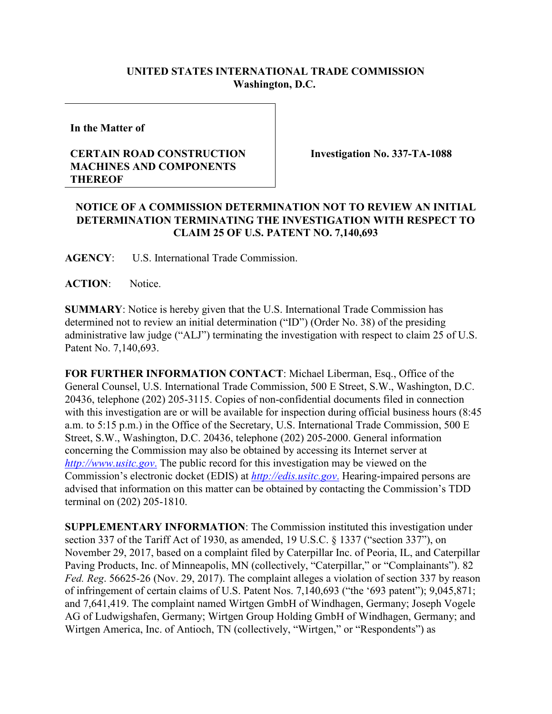## **UNITED STATES INTERNATIONAL TRADE COMMISSION Washington, D.C.**

**In the Matter of**

## **CERTAIN ROAD CONSTRUCTION MACHINES AND COMPONENTS THEREOF**

**Investigation No. 337-TA-1088**

## **NOTICE OF A COMMISSION DETERMINATION NOT TO REVIEW AN INITIAL DETERMINATION TERMINATING THE INVESTIGATION WITH RESPECT TO CLAIM 25 OF U.S. PATENT NO. 7,140,693**

**AGENCY**: U.S. International Trade Commission.

ACTION: Notice.

**SUMMARY**: Notice is hereby given that the U.S. International Trade Commission has determined not to review an initial determination ("ID") (Order No. 38) of the presiding administrative law judge ("ALJ") terminating the investigation with respect to claim 25 of U.S. Patent No. 7,140,693.

**FOR FURTHER INFORMATION CONTACT**: Michael Liberman, Esq., Office of the General Counsel, U.S. International Trade Commission, 500 E Street, S.W., Washington, D.C. 20436, telephone (202) 205-3115. Copies of non-confidential documents filed in connection with this investigation are or will be available for inspection during official business hours (8:45 a.m. to 5:15 p.m.) in the Office of the Secretary, U.S. International Trade Commission, 500 E Street, S.W., Washington, D.C. 20436, telephone (202) 205-2000. General information concerning the Commission may also be obtained by accessing its Internet server at *[http://www.usitc.gov](http://www.usitc.gov./)*. The public record for this investigation may be viewed on the Commission's electronic docket (EDIS) at *[http://edis.usitc.gov](http://edis.usitc.gov./)*. Hearing-impaired persons are advised that information on this matter can be obtained by contacting the Commission's TDD terminal on (202) 205-1810.

**SUPPLEMENTARY INFORMATION**: The Commission instituted this investigation under section 337 of the Tariff Act of 1930, as amended, 19 U.S.C. § 1337 ("section 337"), on November 29, 2017, based on a complaint filed by Caterpillar Inc. of Peoria, IL, and Caterpillar Paving Products, Inc. of Minneapolis, MN (collectively, "Caterpillar," or "Complainants"). 82 *Fed. Reg*. 56625-26 (Nov. 29, 2017). The complaint alleges a violation of section 337 by reason of infringement of certain claims of U.S. Patent Nos. 7,140,693 ("the '693 patent"); 9,045,871; and 7,641,419. The complaint named Wirtgen GmbH of Windhagen, Germany; Joseph Vogele AG of Ludwigshafen, Germany; Wirtgen Group Holding GmbH of Windhagen, Germany; and Wirtgen America, Inc. of Antioch, TN (collectively, "Wirtgen," or "Respondents") as